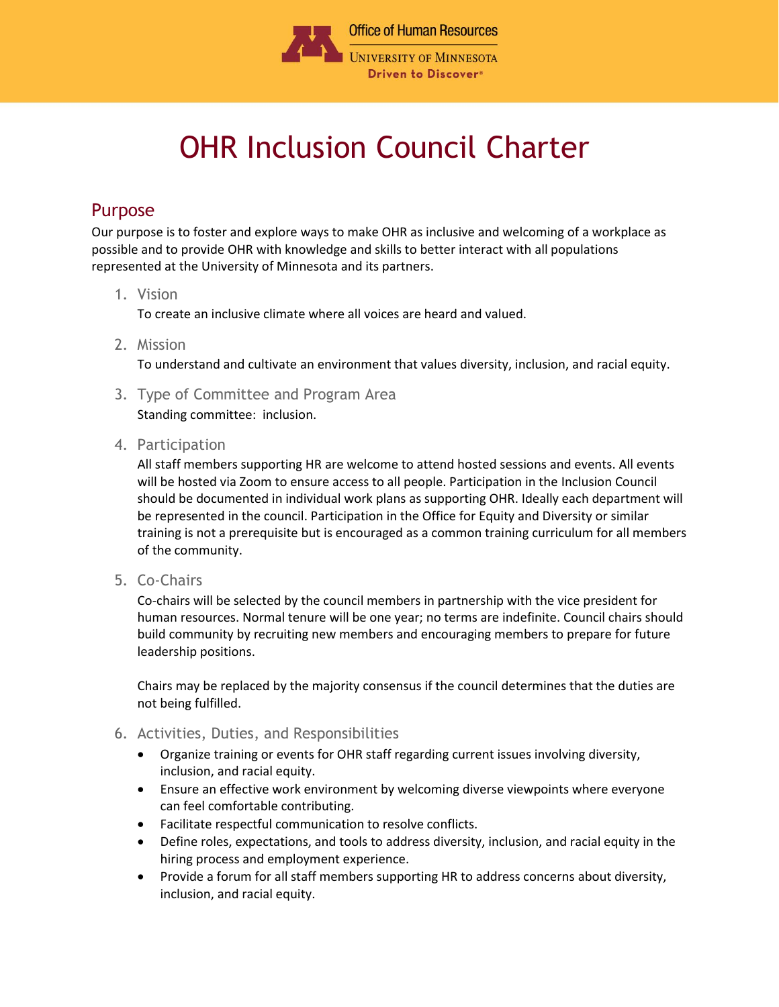

## OHR Inclusion Council Charter

## Purpose

Our purpose is to foster and explore ways to make OHR as inclusive and welcoming of a workplace as possible and to provide OHR with knowledge and skills to better interact with all populations represented at the University of Minnesota and its partners.

## 1. Vision

To create an inclusive climate where all voices are heard and valued.

2. Mission

To understand and cultivate an environment that values diversity, inclusion, and racial equity.

3. Type of Committee and Program Area

Standing committee: inclusion.

4. Participation

All staff members supporting HR are welcome to attend hosted sessions and events. All events will be hosted via Zoom to ensure access to all people. Participation in the Inclusion Council should be documented in individual work plans as supporting OHR. Ideally each department will be represented in the council. Participation in the Office for Equity and Diversity or similar training is not a prerequisite but is encouraged as a common training curriculum for all members of the community.

5. Co-Chairs

Co-chairs will be selected by the council members in partnership with the vice president for human resources. Normal tenure will be one year; no terms are indefinite. Council chairs should build community by recruiting new members and encouraging members to prepare for future leadership positions.

Chairs may be replaced by the majority consensus if the council determines that the duties are not being fulfilled.

- 6. Activities, Duties, and Responsibilities
	- Organize training or events for OHR staff regarding current issues involving diversity, inclusion, and racial equity.
	- Ensure an effective work environment by welcoming diverse viewpoints where everyone can feel comfortable contributing.
	- Facilitate respectful communication to resolve conflicts.
	- Define roles, expectations, and tools to address diversity, inclusion, and racial equity in the hiring process and employment experience.
	- Provide a forum for all staff members supporting HR to address concerns about diversity, inclusion, and racial equity.